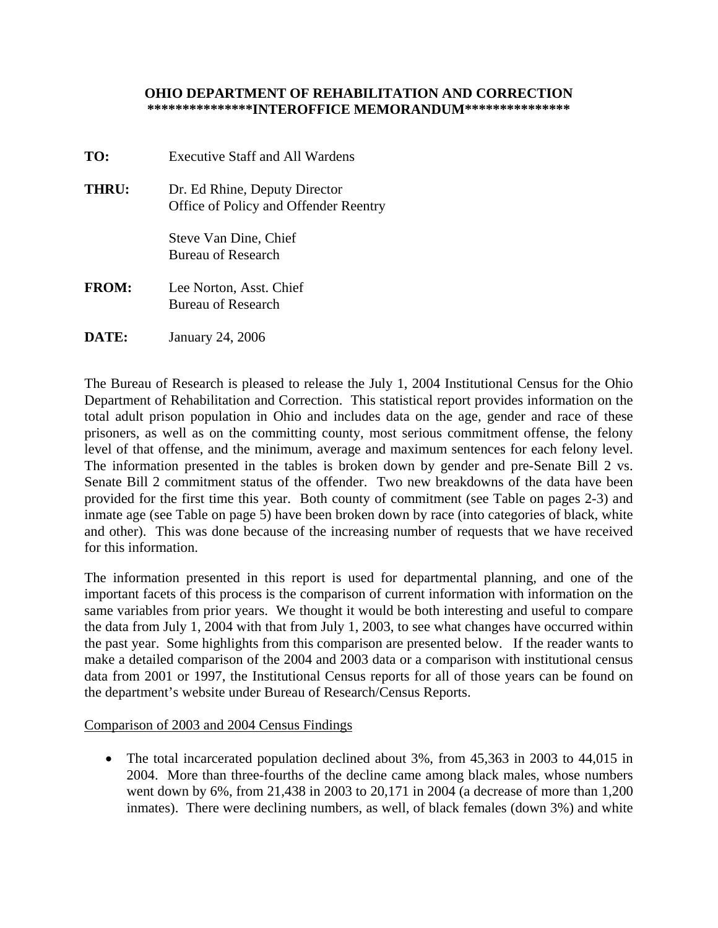## **OHIO DEPARTMENT OF REHABILITATION AND CORRECTION \*\*\*\*\*\*\*\*\*\*\*\*\*\*\*INTEROFFICE MEMORANDUM\*\*\*\*\*\*\*\*\*\*\*\*\*\*\***

| TO:          | <b>Executive Staff and All Wardens</b>                                 |
|--------------|------------------------------------------------------------------------|
| <b>THRU:</b> | Dr. Ed Rhine, Deputy Director<br>Office of Policy and Offender Reentry |
|              | Steve Van Dine, Chief<br><b>Bureau of Research</b>                     |
| <b>FROM:</b> | Lee Norton, Asst. Chief<br><b>Bureau of Research</b>                   |

**DATE:** January 24, 2006

The Bureau of Research is pleased to release the July 1, 2004 Institutional Census for the Ohio Department of Rehabilitation and Correction. This statistical report provides information on the total adult prison population in Ohio and includes data on the age, gender and race of these prisoners, as well as on the committing county, most serious commitment offense, the felony level of that offense, and the minimum, average and maximum sentences for each felony level. The information presented in the tables is broken down by gender and pre-Senate Bill 2 vs. Senate Bill 2 commitment status of the offender. Two new breakdowns of the data have been provided for the first time this year. Both county of commitment (see Table on pages 2-3) and inmate age (see Table on page 5) have been broken down by race (into categories of black, white and other). This was done because of the increasing number of requests that we have received for this information.

The information presented in this report is used for departmental planning, and one of the important facets of this process is the comparison of current information with information on the same variables from prior years. We thought it would be both interesting and useful to compare the data from July 1, 2004 with that from July 1, 2003, to see what changes have occurred within the past year. Some highlights from this comparison are presented below. If the reader wants to make a detailed comparison of the 2004 and 2003 data or a comparison with institutional census data from 2001 or 1997, the Institutional Census reports for all of those years can be found on the department's website under Bureau of Research/Census Reports.

## Comparison of 2003 and 2004 Census Findings

• The total incarcerated population declined about 3%, from 45,363 in 2003 to 44,015 in 2004. More than three-fourths of the decline came among black males, whose numbers went down by 6%, from 21,438 in 2003 to 20,171 in 2004 (a decrease of more than 1,200 inmates). There were declining numbers, as well, of black females (down 3%) and white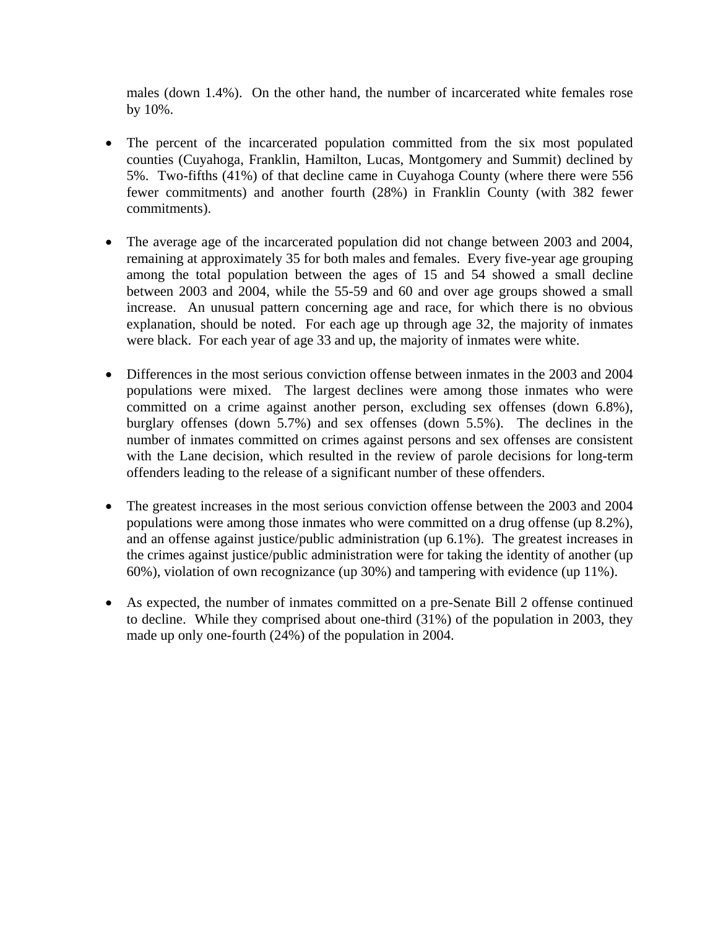males (down 1.4%). On the other hand, the number of incarcerated white females rose by 10%.

- The percent of the incarcerated population committed from the six most populated counties (Cuyahoga, Franklin, Hamilton, Lucas, Montgomery and Summit) declined by 5%. Two-fifths (41%) of that decline came in Cuyahoga County (where there were 556 fewer commitments) and another fourth (28%) in Franklin County (with 382 fewer commitments).
- The average age of the incarcerated population did not change between 2003 and 2004, remaining at approximately 35 for both males and females. Every five-year age grouping among the total population between the ages of 15 and 54 showed a small decline between 2003 and 2004, while the 55-59 and 60 and over age groups showed a small increase. An unusual pattern concerning age and race, for which there is no obvious explanation, should be noted. For each age up through age 32, the majority of inmates were black. For each year of age 33 and up, the majority of inmates were white.
- Differences in the most serious conviction offense between inmates in the 2003 and 2004 populations were mixed. The largest declines were among those inmates who were committed on a crime against another person, excluding sex offenses (down 6.8%), burglary offenses (down 5.7%) and sex offenses (down 5.5%). The declines in the number of inmates committed on crimes against persons and sex offenses are consistent with the Lane decision, which resulted in the review of parole decisions for long-term offenders leading to the release of a significant number of these offenders.
- The greatest increases in the most serious conviction offense between the 2003 and 2004 populations were among those inmates who were committed on a drug offense (up 8.2%), and an offense against justice/public administration (up 6.1%). The greatest increases in the crimes against justice/public administration were for taking the identity of another (up 60%), violation of own recognizance (up 30%) and tampering with evidence (up 11%).
- As expected, the number of inmates committed on a pre-Senate Bill 2 offense continued to decline. While they comprised about one-third (31%) of the population in 2003, they made up only one-fourth (24%) of the population in 2004.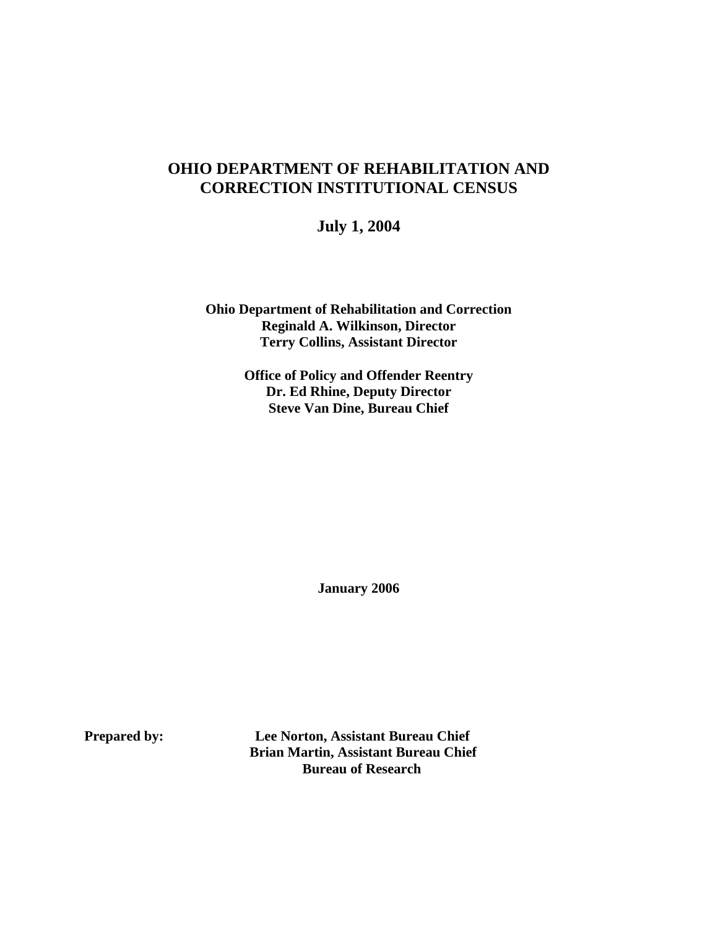# **OHIO DEPARTMENT OF REHABILITATION AND CORRECTION INSTITUTIONAL CENSUS**

**July 1, 2004**

**Ohio Department of Rehabilitation and Correction Reginald A. Wilkinson, Director Terry Collins, Assistant Director** 

> **Office of Policy and Offender Reentry Dr. Ed Rhine, Deputy Director Steve Van Dine, Bureau Chief**

> > **January 2006**

**Prepared by: Lee Norton, Assistant Bureau Chief Brian Martin, Assistant Bureau Chief Bureau of Research**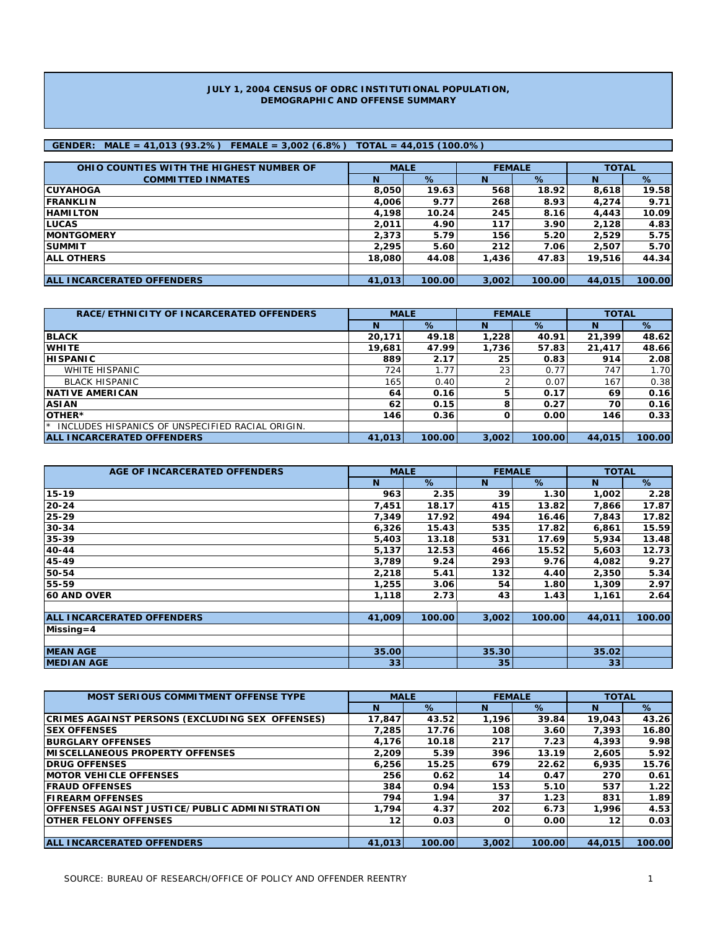#### **JULY 1, 2004 CENSUS OF ODRC INSTITUTIONAL POPULATION, DEMOGRAPHIC AND OFFENSE SUMMARY**

#### **GENDER: MALE = 41,013 (93.2%) FEMALE = 3,002 (6.8%) TOTAL = 44,015 (100.0%)**

| OHIO COUNTIES WITH THE HIGHEST NUMBER OF | <b>MALE</b> |        | <b>FEMALE</b> |        | <b>TOTAL</b> |        |
|------------------------------------------|-------------|--------|---------------|--------|--------------|--------|
| <b>COMMITTED INMATES</b>                 | N           | %      | N             | %      | N            | %      |
| <b>ICUYAHOGA</b>                         | 8,050       | 19.63  | 568           | 18.92  | 8,618        | 19.58  |
| <b>IFRANKLIN</b>                         | 4,006       | 9.77   | 268           | 8.93   | 4,274        | 9.71   |
| <b>HAMILTON</b>                          | 4.198       | 10.24  | 245           | 8.16   | 4,443        | 10.09  |
| <b>ILUCAS</b>                            | 2,011       | 4.90   | 117           | 3.90   | 2,128        | 4.83   |
| <b>IMONTGOMERY</b>                       | 2.373       | 5.79   | 156           | 5.20   | 2.529        | 5.75   |
| <b>ISUMMIT</b>                           | 2.295       | 5.60   | 212           | 7.06   | 2,507        | 5.70   |
| <b>JALL OTHERS</b>                       | 18,080      | 44.08  | 1,436         | 47.83  | 19,516       | 44.34  |
|                                          |             |        |               |        |              |        |
| <b>ALL INCARCERATED OFFENDERS</b>        | 41,013      | 100.00 | 3,002         | 100.00 | 44,015       | 100.00 |

| RACE/ETHNICITY OF INCARCERATED OFFENDERS              | <b>MALE</b> |        | <b>FEMALE</b> |        | <b>TOTAL</b> |        |  |
|-------------------------------------------------------|-------------|--------|---------------|--------|--------------|--------|--|
|                                                       | N           | %      | N             | $\%$   | N            | %      |  |
| <b>BLACK</b>                                          | 20.171      | 49.18  | 1,228         | 40.91  | 21,399       | 48.62  |  |
| <b>WHITE</b>                                          | 19,681      | 47.99  | 1.736         | 57.83  | 21,417       | 48.66  |  |
| <b>IHISPANIC</b>                                      | 889         | 2.17   | 25            | 0.83   | 914          | 2.08   |  |
| <b>WHITE HISPANIC</b>                                 | 724         | 1.77   | 23            | 0.77   | 747          | 1.70   |  |
| <b>BLACK HISPANIC</b>                                 | 165         | 0.40   |               | 0.07   | 167          | 0.38   |  |
| <b>INATIVE AMERICAN</b>                               | 64          | 0.16   |               | 0.17   | 69           | 0.16   |  |
| <b>ASIAN</b>                                          | 62          | 0.15   | 8             | 0.27   | 70           | 0.16   |  |
| OTHER*                                                | 146         | 0.36   |               | 0.00   | 146          | 0.33   |  |
| INCLUDES HISPANICS OF UNSPECIFIED RACIAL ORIGIN.<br>★ |             |        |               |        |              |        |  |
| <b>ALL INCARCERATED OFFENDERS</b>                     | 41,013      | 100.00 | 3,002         | 100.00 | 44,015       | 100.00 |  |

| AGE OF INCARCERATED OFFENDERS     | <b>MALE</b> |        | <b>FEMALE</b> |        | <b>TOTAL</b> |        |  |
|-----------------------------------|-------------|--------|---------------|--------|--------------|--------|--|
|                                   | N           | %      | N             | %      | N            | %      |  |
| 15-19                             | 963         | 2.35   | 39            | 1.30   | 1,002        | 2.28   |  |
| $20 - 24$                         | 7,451       | 18.17  | 415           | 13.82  | 7,866        | 17.87  |  |
| 25-29                             | 7,349       | 17.92  | 494           | 16.46  | 7,843        | 17.82  |  |
| 30-34                             | 6,326       | 15.43  | 535           | 17.82  | 6,861        | 15.59  |  |
| 35-39                             | 5,403       | 13.18  | 531           | 17.69  | 5,934        | 13.48  |  |
| 40-44                             | 5,137       | 12.53  | 466           | 15.52  | 5,603        | 12.73  |  |
| 45-49                             | 3,789       | 9.24   | 293           | 9.76   | 4,082        | 9.27   |  |
| 50-54                             | 2,218       | 5.41   | 132           | 4.40   | 2,350        | 5.34   |  |
| 55-59                             | 1,255       | 3.06   | 54            | 1.80   | 1,309        | 2.97   |  |
| <b>60 AND OVER</b>                | 1,118       | 2.73   | 43            | 1.43   | 1,161        | 2.64   |  |
|                                   |             |        |               |        |              |        |  |
| <b>ALL INCARCERATED OFFENDERS</b> | 41,009      | 100.00 | 3,002         | 100.00 | 44,011       | 100.00 |  |
| $Missing = 4$                     |             |        |               |        |              |        |  |
|                                   |             |        |               |        |              |        |  |
| <b>MEAN AGE</b>                   | 35.00       |        | 35.30         |        | 35.02        |        |  |
| <b>MEDIAN AGE</b>                 | 33          |        | 35            |        | 33           |        |  |

| <b>MOST SERIOUS COMMITMENT OFFENSE TYPE</b>     | <b>MALE</b> |        | <b>FEMALE</b> |                   | <b>TOTAL</b> |              |
|-------------------------------------------------|-------------|--------|---------------|-------------------|--------------|--------------|
|                                                 | N           | $\%$   | N             | $\%$              | N            | %            |
| CRIMES AGAINST PERSONS (EXCLUDING SEX OFFENSES) | 17.847      | 43.52  | 1.196         | 39.84             | 19,043       | 43.26        |
| <b>SEX OFFENSES</b>                             | 7.285       | 17.76  | 108           | 3.60              | 7.393        | 16.80        |
| <b>IBURGLARY OFFENSES</b>                       | 4,176       | 10.18  | 217           | 7.23              | 4,393        | 9.98         |
| <b>IMISCELLANEOUS PROPERTY OFFENSES</b>         | 2.209       | 5.39   | 396           | 13.19             | 2,605        | 5.92         |
| <b>IDRUG OFFENSES</b>                           | 6,256       | 15.25  | 679           | 22.62             | 6.935        | <b>15.76</b> |
| <b>IMOTOR VEHICLE OFFENSES</b>                  | 256         | 0.62   | 14            | 0.47              | 270          | 0.61         |
| <b>IFRAUD OFFENSES</b>                          | 384         | 0.94   | 153           | 5.10              | 537          | 1.22         |
| <b>FIREARM OFFENSES</b>                         | 794         | 1.94   | 37            | 1.23              | 831          | 1.89         |
| lOFFENSES AGAINST JUSTICE/PUBLIC ADMINISTRATION | 1.794       | 4.37   | 202           | 6.73              | 1.996        | 4.53         |
| <b>IOTHER FELONY OFFENSES</b>                   | 12          | 0.03   | O             | 0.00 <sub>l</sub> | 12           | 0.03         |
|                                                 |             |        |               |                   |              |              |
| <b>ALL INCARCERATED OFFENDERS</b>               | 41,013      | 100.00 | 3.002         | 100.00            | 44,015       | 100.00       |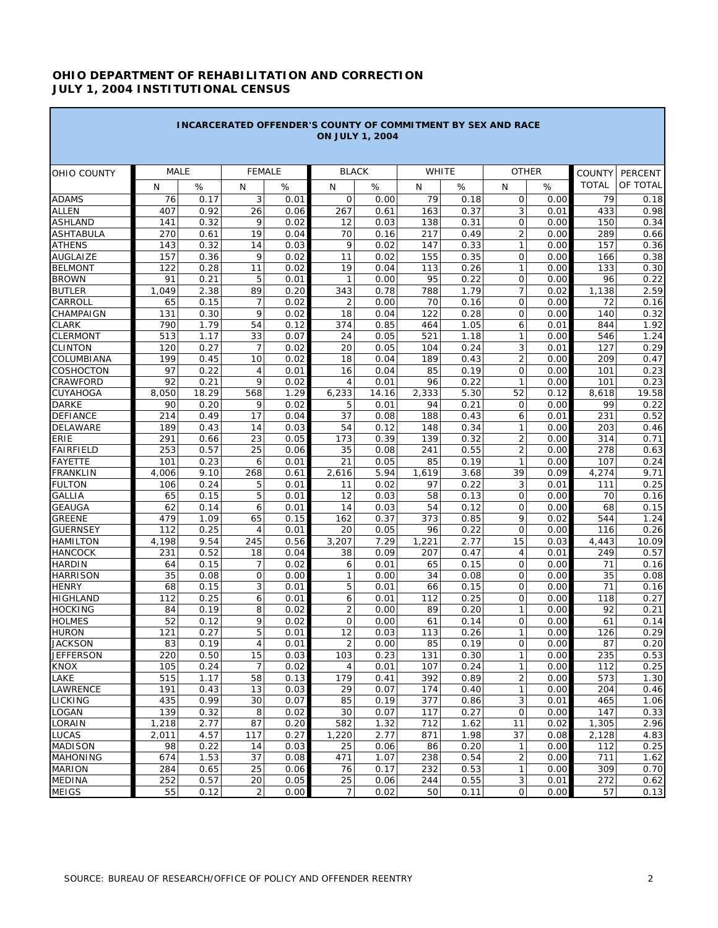### **OHIO DEPARTMENT OF REHABILITATION AND CORRECTION JULY 1, 2004 INSTITUTIONAL CENSUS**

 $\mathcal{L}^{\text{max}}_{\text{max}}$ 

|                                 |             |              |                |              | <b>INCARCERATED OFFENDER'S COUNTY OF COMMITMENT BY SEX AND RACE</b><br><b>ON JULY 1, 2004</b> |              |              |              |                                  |              |                               |                     |
|---------------------------------|-------------|--------------|----------------|--------------|-----------------------------------------------------------------------------------------------|--------------|--------------|--------------|----------------------------------|--------------|-------------------------------|---------------------|
|                                 | <b>MALE</b> |              | <b>FEMALE</b>  |              | <b>BLACK</b>                                                                                  |              | <b>WHITE</b> |              | <b>OTHER</b>                     |              |                               |                     |
| OHIO COUNTY                     | N           | $\%$         | N              |              |                                                                                               | $\%$         | N            | $\%$         | N                                | %            | <b>COUNTY</b><br><b>TOTAL</b> | PERCENT<br>OF TOTAL |
| <b>ADAMS</b>                    | 76          |              | 3              | %<br>0.01    | N<br>$\mathbf 0$                                                                              | 0.00         | 79           | 0.18         | $\mathbf 0$                      | 0.00         | 79                            |                     |
| <b>ALLEN</b>                    | 407         | 0.17<br>0.92 | 26             | 0.06         | 267                                                                                           | 0.61         | 163          | 0.37         | 3                                | 0.01         | 433                           | 0.18<br>0.98        |
| <b>ASHLAND</b>                  | 141         | 0.32         | 9              | 0.02         | 12                                                                                            | 0.03         | 138          | 0.31         | 0                                | 0.00         | 150                           | 0.34                |
| <b>ASHTABULA</b>                | 270         | 0.61         | 19             | 0.04         | 70                                                                                            | 0.16         | 217          | 0.49         | $\overline{2}$                   | 0.00         | 289                           | 0.66                |
| <b>ATHENS</b>                   | 143         | 0.32         | 14             | 0.03         | 9                                                                                             | 0.02         | 147          | 0.33         | $\mathbf{1}$                     | 0.00         | 157                           | 0.36                |
| <b>AUGLAIZE</b>                 | 157         | 0.36         | 9              | 0.02         | 11                                                                                            | 0.02         | 155          | 0.35         | $\mathbf 0$                      | 0.00         | 166                           | 0.38                |
| <b>BELMONT</b>                  | 122         | 0.28         | 11             | 0.02         | 19                                                                                            | 0.04         | 113          | 0.26         | $\mathbf{1}$                     | 0.00         | 133                           | 0.30                |
| <b>BROWN</b>                    | 91          | 0.21         | 5              | 0.01         | 1                                                                                             | 0.00         | 95           | 0.22         | $\circ$                          | 0.00         | 96                            | 0.22                |
| <b>BUTLER</b>                   | 1,049       | 2.38         | 89             | 0.20         | 343                                                                                           | 0.78         | 788          | 1.79         | $\overline{7}$                   | 0.02         | 1,138                         | 2.59                |
| CARROLL<br><b>CHAMPAIGN</b>     | 65<br>131   | 0.15<br>0.30 | 7<br>9         | 0.02<br>0.02 | $\overline{2}$<br>18                                                                          | 0.00<br>0.04 | 70<br>122    | 0.16<br>0.28 | $\mathbf 0$<br>$\mathbf 0$       | 0.00<br>0.00 | 72<br>140                     | 0.16<br>0.32        |
| <b>CLARK</b>                    | 790         | 1.79         | 54             | 0.12         | 374                                                                                           | 0.85         | 464          | 1.05         | 6                                | 0.01         | 844                           | 1.92                |
| <b>CLERMONT</b>                 | 513         | 1.17         | 33             | 0.07         | 24                                                                                            | 0.05         | 521          | 1.18         | $\mathbf{1}$                     | 0.00         | 546                           | 1.24                |
| <b>CLINTON</b>                  | 120         | 0.27         | $\overline{7}$ | 0.02         | 20                                                                                            | 0.05         | 104          | 0.24         | 3                                | 0.01         | 127                           | 0.29                |
| COLUMBIANA                      | 199         | 0.45         | 10             | 0.02         | 18                                                                                            | 0.04         | 189          | 0.43         | $\overline{2}$                   | 0.00         | 209                           | 0.47                |
| <b>COSHOCTON</b>                | 97          | 0.22         | 4              | 0.01         | 16                                                                                            | 0.04         | 85           | 0.19         | $\mathbf 0$                      | 0.00         | 101                           | 0.23                |
| CRAWFORD                        | 92          | 0.21         | 9              | 0.02         | 4                                                                                             | 0.01         | 96           | 0.22         | $\mathbf{1}$                     | 0.00         | 101                           | 0.23                |
| <b>CUYAHOGA</b>                 | 8,050       | 18.29        | 568            | 1.29         | 6,233                                                                                         | 14.16        | 2,333        | 5.30         | 52                               | 0.12         | 8,618                         | 19.58               |
| <b>DARKE</b>                    | 90          | 0.20         | 9              | 0.02         | 5                                                                                             | 0.01         | 94           | 0.21         | $\mathbf 0$                      | 0.00         | 99                            | 0.22                |
| <b>DEFIANCE</b>                 | 214         | 0.49         | 17             | 0.04         | 37                                                                                            | 0.08         | 188          | 0.43         | 6                                | 0.01         | 231                           | 0.52                |
| <b>DELAWARE</b>                 | 189         | 0.43         | 14             | 0.03         | 54                                                                                            | 0.12         | 148          | 0.34         | $\mathbf{1}$                     | 0.00         | 203                           | 0.46                |
| <b>ERIE</b><br><b>FAIRFIELD</b> | 291<br>253  | 0.66<br>0.57 | 23<br>25       | 0.05<br>0.06 | 173<br>35                                                                                     | 0.39<br>0.08 | 139<br>241   | 0.32<br>0.55 | $\overline{2}$<br>$\overline{2}$ | 0.00<br>0.00 | 314<br>278                    | 0.71<br>0.63        |
| <b>FAYETTE</b>                  | 101         | 0.23         | 6              | 0.01         | 21                                                                                            | 0.05         | 85           | 0.19         | $\mathbf{1}$                     | 0.00         | 107                           | 0.24                |
| <b>FRANKLIN</b>                 | 4,006       | 9.10         | 268            | 0.61         | 2,616                                                                                         | 5.94         | 1,619        | 3.68         | 39                               | 0.09         | 4,274                         | 9.71                |
| <b>FULTON</b>                   | 106         | 0.24         | 5              | 0.01         | 11                                                                                            | 0.02         | 97           | 0.22         | 3                                | 0.01         | 111                           | 0.25                |
| <b>GALLIA</b>                   | 65          | 0.15         | 5              | 0.01         | 12                                                                                            | 0.03         | 58           | 0.13         | $\mathbf 0$                      | 0.00         | 70                            | 0.16                |
| <b>GEAUGA</b>                   | 62          | 0.14         | 6              | 0.01         | 14                                                                                            | 0.03         | 54           | 0.12         | $\mathbf 0$                      | 0.00         | 68                            | 0.15                |
| <b>GREENE</b>                   | 479         | 1.09         | 65             | 0.15         | 162                                                                                           | 0.37         | 373          | 0.85         | 9                                | 0.02         | 544                           | 1.24                |
| <b>GUERNSEY</b>                 | 112         | 0.25         | 4              | 0.01         | 20                                                                                            | 0.05         | 96           | 0.22         | $\mathbf 0$                      | 0.00         | 116                           | 0.26                |
| <b>HAMILTON</b>                 | 4,198       | 9.54         | 245            | 0.56         | 3,207                                                                                         | 7.29         | 1,221        | 2.77         | 15                               | 0.03         | 4,443                         | 10.09               |
| <b>HANCOCK</b>                  | 231         | 0.52         | 18             | 0.04         | 38                                                                                            | 0.09         | 207          | 0.47         | 4                                | 0.01         | 249                           | 0.57                |
| <b>HARDIN</b>                   | 64          | 0.15         | $\overline{7}$ | 0.02         | 6                                                                                             | 0.01         | 65           | 0.15         | $\mathbf 0$                      | 0.00         | 71                            | 0.16                |
| <b>HARRISON</b><br><b>HENRY</b> | 35<br>68    | 0.08<br>0.15 | 0<br>3         | 0.00<br>0.01 | 1<br>5                                                                                        | 0.00<br>0.01 | 34           | 0.08<br>0.15 | 0<br>$\mathbf 0$                 | 0.00<br>0.00 | 35<br>71                      | 0.08<br>0.16        |
| <b>HIGHLAND</b>                 | 112         | 0.25         | 6              | 0.01         | 6                                                                                             | 0.01         | 66<br>112    | 0.25         | $\mathsf{O}$                     | 0.00         | 118                           | 0.27                |
| <b>HOCKING</b>                  | 84          | 0.19         | 8              | 0.02         | 2                                                                                             | 0.00         | 89           | 0.20         | 1                                | 0.00         | 92                            | 0.21                |
| <b>HOLMES</b>                   | 52          | 0.12         | 9              | 0.02         | 0                                                                                             | 0.00         | 61           | 0.14         | $\mathbf 0$                      | 0.00         | 61                            | 0.14                |
| <b>HURON</b>                    | 121         | 0.27         | 5              | 0.01         | 12                                                                                            | 0.03         | 113          | 0.26         | $\mathbf{1}$                     | 0.00         | 126                           | 0.29                |
|                                 | 83          | 0.19         | $\overline{4}$ | 0.01         | 2                                                                                             | 0.00         | 85           | 0.19         | 0                                | 0.00         | 87                            | 0.20                |
| JACKSON<br>JEFFERSON            | 220         | 0.50         | 15             | 0.03         | 103                                                                                           | 0.23         | 131          | 0.30         | $\mathbf{1}$                     | 0.00         | 235                           | 0.53                |
| <b>KNOX</b>                     | 105         | 0.24         | 7              | 0.02         | 4                                                                                             | 0.01         | 107          | 0.24         | $\mathbf{1}$                     | 0.00         | 112                           | 0.25                |
| LAKE                            | 515         | 1.17         | 58             | 0.13         | 179                                                                                           | 0.41         | 392          | 0.89         | $\sqrt{2}$                       | 0.00         | 573                           | 1.30                |
| <b>LAWRENCE</b>                 | 191         | 0.43         | 13             | 0.03         | 29                                                                                            | 0.07         | 174          | 0.40         | $\mathbf{1}$                     | 0.00         | 204                           | 0.46                |
| <b>LICKING</b><br>LOGAN         | 435<br>139  | 0.99<br>0.32 | 30<br>8        | 0.07<br>0.02 | 85<br>30                                                                                      | 0.19<br>0.07 | 377<br>117   | 0.86<br>0.27 | 3<br>$\mathbf 0$                 | 0.01<br>0.00 | 465<br>147                    | 1.06                |
| LORAIN                          | 1,218       | 2.77         | 87             | 0.20         | 582                                                                                           |              |              | 1.62         | 11                               | 0.02         | 1,305                         | 0.33<br>2.96        |
| <b>LUCAS</b>                    | 2,011       | 4.57         | 117            | 0.27         | 1,220                                                                                         | 1.32<br>2.77 | 712<br>871   | 1.98         | 37                               | 0.08         | 2,128                         | 4.83                |
| <b>MADISON</b>                  | 98          | 0.22         | 14             | 0.03         | 25                                                                                            | 0.06         | 86           | 0.20         | $\mathbf{1}$                     | 0.00         | 112                           | 0.25                |
| <b>MAHONING</b>                 | 674         | 1.53         | 37             | 0.08         | 471                                                                                           | 1.07         | 238          | 0.54         | 2                                | 0.00         | 711                           | 1.62                |
| <b>MARION</b>                   | 284         | 0.65         | 25             | 0.06         | 76                                                                                            | 0.17         | 232          | 0.53         | $\mathbf{1}$                     | 0.00         | 309                           | 0.70                |
| <b>MEDINA</b>                   | 252         | 0.57         | 20             | 0.05         | 25                                                                                            | 0.06         | 244          | 0.55         | 3                                | 0.01         | 272                           | 0.62                |
| <b>MEIGS</b>                    | 55          | 0.12         | $\overline{2}$ | 0.00         | $\overline{7}$                                                                                | 0.02         | 50           | 0.11         | 0                                | 0.00         | 57                            | 0.13                |

п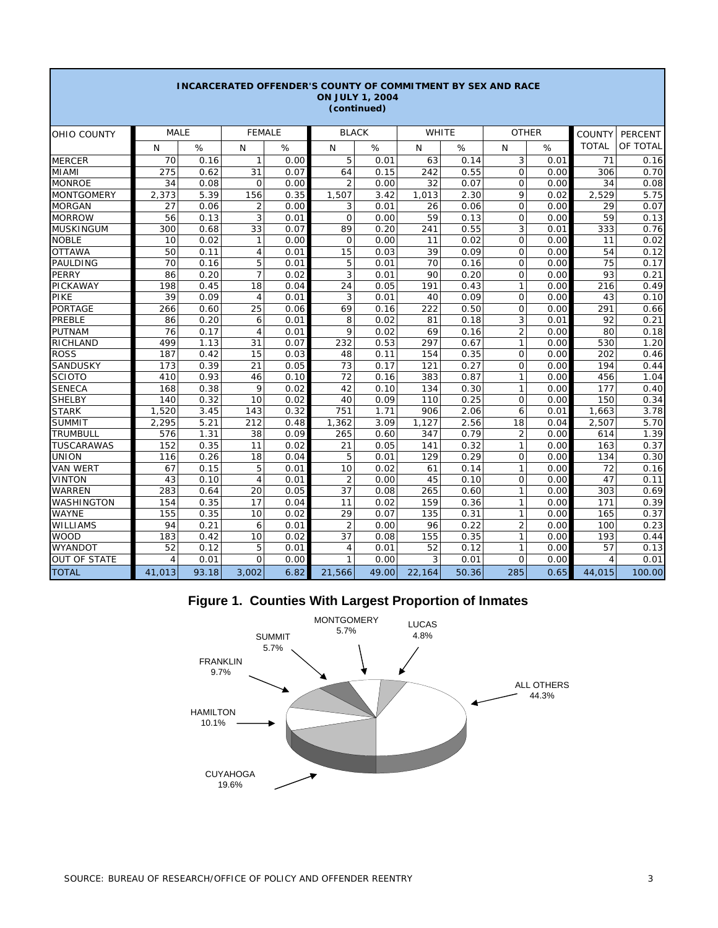|                     |             |       |                |      | <b>INCARCERATED OFFENDER'S COUNTY OF COMMITMENT BY SEX AND RACE</b> | <b>ON JULY 1, 2004</b><br>(continued) |        |       |                |      |                |                |
|---------------------|-------------|-------|----------------|------|---------------------------------------------------------------------|---------------------------------------|--------|-------|----------------|------|----------------|----------------|
| OHIO COUNTY         | <b>MALE</b> |       | <b>FEMALE</b>  |      | <b>BLACK</b>                                                        |                                       |        | WHITE | <b>OTHER</b>   |      | <b>COUNTY</b>  | <b>PERCENT</b> |
|                     | N           | %     | N              | %    | N                                                                   | %                                     | N      | %     | N              | %    | <b>TOTAL</b>   | OF TOTAL       |
| <b>MERCER</b>       | 70          | 0.16  | $\mathbf{1}$   | 0.00 | 5                                                                   | 0.01                                  | 63     | 0.14  | 3              | 0.01 | 71             | 0.16           |
| <b>MIAMI</b>        | 275         | 0.62  | 31             | 0.07 | 64                                                                  | 0.15                                  | 242    | 0.55  | $\mathbf 0$    | 0.00 | 306            | 0.70           |
| <b>MONROE</b>       | 34          | 0.08  | $\overline{0}$ | 0.00 | $\overline{2}$                                                      | 0.00                                  | 32     | 0.07  | $\mathbf 0$    | 0.00 | 34             | 0.08           |
| <b>MONTGOMERY</b>   | 2,373       | 5.39  | 156            | 0.35 | 1,507                                                               | 3.42                                  | 1,013  | 2.30  | 9              | 0.02 | 2,529          | 5.75           |
| <b>MORGAN</b>       | 27          | 0.06  | $\overline{2}$ | 0.00 | 3                                                                   | 0.01                                  | 26     | 0.06  | $\mathbf 0$    | 0.00 | 29             | 0.07           |
| <b>MORROW</b>       | 56          | 0.13  | 3              | 0.01 | $\mathbf 0$                                                         | 0.00                                  | 59     | 0.13  | $\mathbf 0$    | 0.00 | 59             | 0.13           |
| <b>MUSKINGUM</b>    | 300         | 0.68  | 33             | 0.07 | 89                                                                  | 0.20                                  | 241    | 0.55  | 3              | 0.01 | 333            | 0.76           |
| <b>NOBLE</b>        | 10          | 0.02  | 1              | 0.00 | $\mathbf{O}$                                                        | 0.00                                  | 11     | 0.02  | 0              | 0.00 | 11             | 0.02           |
| <b>OTTAWA</b>       | 50          | 0.11  | $\overline{4}$ | 0.01 | 15                                                                  | 0.03                                  | 39     | 0.09  | $\mathbf 0$    | 0.00 | 54             | 0.12           |
| PAULDING            | 70          | 0.16  | 5              | 0.01 | 5                                                                   | 0.01                                  | 70     | 0.16  | $\mathbf 0$    | 0.00 | 75             | 0.17           |
| <b>PERRY</b>        | 86          | 0.20  | $\overline{7}$ | 0.02 | 3                                                                   | 0.01                                  | 90     | 0.20  | 0              | 0.00 | 93             | 0.21           |
| PICKAWAY            | 198         | 0.45  | 18             | 0.04 | 24                                                                  | 0.05                                  | 191    | 0.43  | $\mathbf{1}$   | 0.00 | 216            | 0.49           |
| PIKE                | 39          | 0.09  | $\overline{4}$ | 0.01 | 3                                                                   | 0.01                                  | 40     | 0.09  | $\Omega$       | 0.00 | 43             | 0.10           |
| <b>PORTAGE</b>      | 266         | 0.60  | 25             | 0.06 | 69                                                                  | 0.16                                  | 222    | 0.50  | 0              | 0.00 | 291            | 0.66           |
| PREBLE              | 86          | 0.20  | 6              | 0.01 | 8                                                                   | 0.02                                  | 81     | 0.18  | 3              | 0.01 | 92             | 0.21           |
| <b>PUTNAM</b>       | 76          | 0.17  | $\overline{4}$ | 0.01 | 9                                                                   | 0.02                                  | 69     | 0.16  | $\overline{2}$ | 0.00 | 80             | 0.18           |
| <b>RICHLAND</b>     | 499         | 1.13  | 31             | 0.07 | 232                                                                 | 0.53                                  | 297    | 0.67  | 1              | 0.00 | 530            | 1.20           |
| <b>ROSS</b>         | 187         | 0.42  | 15             | 0.03 | 48                                                                  | 0.11                                  | 154    | 0.35  | $\Omega$       | 0.00 | 202            | 0.46           |
| SANDUSKY            | 173         | 0.39  | 21             | 0.05 | 73                                                                  | 0.17                                  | 121    | 0.27  | $\Omega$       | 0.00 | 194            | 0.44           |
| <b>SCIOTO</b>       | 410         | 0.93  | 46             | 0.10 | 72                                                                  | 0.16                                  | 383    | 0.87  | $\mathbf{1}$   | 0.00 | 456            | 1.04           |
| <b>SENECA</b>       | 168         | 0.38  | 9              | 0.02 | 42                                                                  | 0.10                                  | 134    | 0.30  | 1              | 0.00 | 177            | 0.40           |
| <b>SHELBY</b>       | 140         | 0.32  | 10             | 0.02 | 40                                                                  | 0.09                                  | 110    | 0.25  | $\mathbf 0$    | 0.00 | 150            | 0.34           |
| <b>STARK</b>        | 1,520       | 3.45  | 143            | 0.32 | 751                                                                 | 1.71                                  | 906    | 2.06  | 6              | 0.01 | 1,663          | 3.78           |
| <b>SUMMIT</b>       | 2,295       | 5.21  | 212            | 0.48 | 1,362                                                               | 3.09                                  | 1,127  | 2.56  | 18             | 0.04 | 2,507          | 5.70           |
| <b>TRUMBULL</b>     | 576         | 1.31  | 38             | 0.09 | 265                                                                 | 0.60                                  | 347    | 0.79  | $\overline{2}$ | 0.00 | 614            | 1.39           |
| <b>TUSCARAWAS</b>   | 152         | 0.35  | 11             | 0.02 | 21                                                                  | 0.05                                  | 141    | 0.32  | $\mathbf{1}$   | 0.00 | 163            | 0.37           |
| <b>UNION</b>        | 116         | 0.26  | 18             | 0.04 | 5                                                                   | 0.01                                  | 129    | 0.29  | $\mathbf 0$    | 0.00 | 134            | 0.30           |
| <b>VAN WERT</b>     | 67          | 0.15  | 5              | 0.01 | 10                                                                  | 0.02                                  | 61     | 0.14  | 1              | 0.00 | 72             | 0.16           |
| <b>VINTON</b>       | 43          | 0.10  | $\overline{4}$ | 0.01 | $\overline{2}$                                                      | 0.00                                  | 45     | 0.10  | $\mathbf 0$    | 0.00 | 47             | 0.11           |
| <b>WARREN</b>       | 283         | 0.64  | 20             | 0.05 | 37                                                                  | 0.08                                  | 265    | 0.60  | 1              | 0.00 | 303            | 0.69           |
| WASHINGTON          | 154         | 0.35  | 17             | 0.04 | 11                                                                  | 0.02                                  | 159    | 0.36  | 1              | 0.00 | 171            | 0.39           |
| <b>WAYNE</b>        | 155         | 0.35  | 10             | 0.02 | 29                                                                  | 0.07                                  | 135    | 0.31  | $\mathbf{1}$   | 0.00 | 165            | 0.37           |
| <b>WILLIAMS</b>     | 94          | 0.21  | 6              | 0.01 | $\overline{2}$                                                      | 0.00                                  | 96     | 0.22  | $\overline{2}$ | 0.00 | 100            | 0.23           |
| <b>WOOD</b>         | 183         | 0.42  | 10             | 0.02 | 37                                                                  | 0.08                                  | 155    | 0.35  | 1              | 0.00 | 193            | 0.44           |
| <b>WYANDOT</b>      | 52          | 0.12  | 5              | 0.01 | $\overline{4}$                                                      | 0.01                                  | 52     | 0.12  | $\mathbf{1}$   | 0.00 | 57             | 0.13           |
| <b>OUT OF STATE</b> | 4           | 0.01  | $\Omega$       | 0.00 | $\mathbf{1}$                                                        | 0.00                                  | 3      | 0.01  | $\Omega$       | 0.00 | $\overline{4}$ | 0.01           |
| <b>TOTAL</b>        | 41,013      | 93.18 | 3,002          | 6.82 | 21,566                                                              | 49.00                                 | 22,164 | 50.36 | 285            | 0.65 | 44,015         | 100.00         |

# **Figure 1. Counties With Largest Proportion of Inmates**



г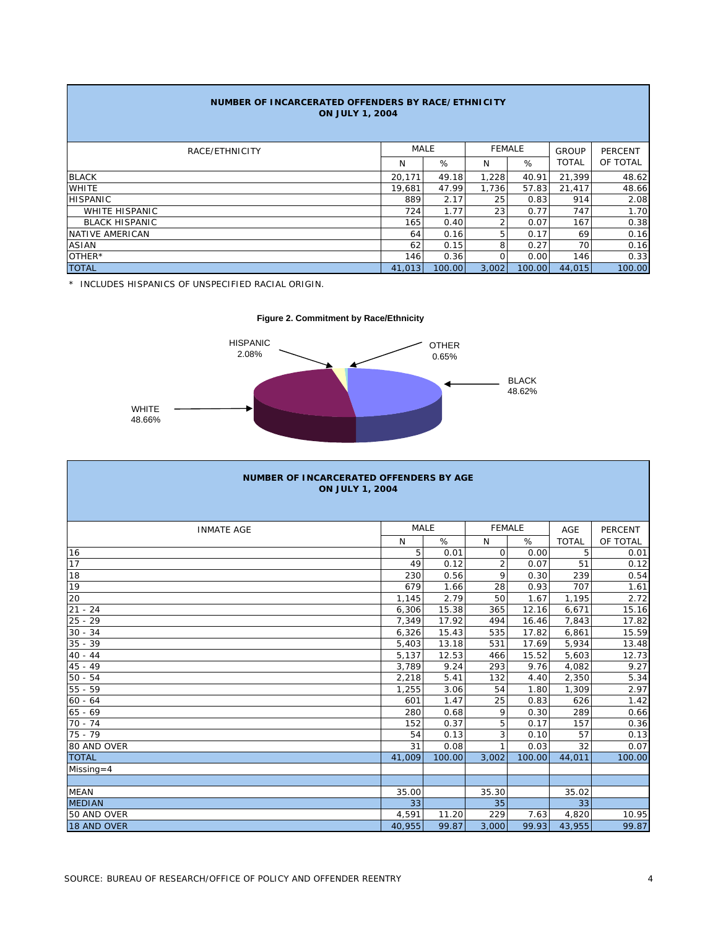| NUMBER OF INCARCERATED OFFENDERS BY RACE/ETHNICITY<br><b>ON JULY 1, 2004</b> |        |             |          |               |              |                |  |  |  |  |  |  |
|------------------------------------------------------------------------------|--------|-------------|----------|---------------|--------------|----------------|--|--|--|--|--|--|
| RACE/ETHNICITY                                                               |        | <b>MALE</b> |          | <b>FEMALE</b> | <b>GROUP</b> | <b>PERCENT</b> |  |  |  |  |  |  |
|                                                                              | N      | %           | N        | %             | <b>TOTAL</b> | OF TOTAL       |  |  |  |  |  |  |
| <b>BLACK</b>                                                                 | 20.171 | 49.18       | 1,228    | 40.91         | 21,399       | 48.62          |  |  |  |  |  |  |
| <b>WHITE</b>                                                                 | 19,681 | 47.99       | 1,736    | 57.83         | 21,417       | 48.66          |  |  |  |  |  |  |
| <b>HISPANIC</b>                                                              | 889    | 2.17        | 25       | 0.83          | 914          | 2.08           |  |  |  |  |  |  |
| <b>WHITE HISPANIC</b>                                                        | 724    | 1.77        | 23       | 0.77          | 747          | 1.70           |  |  |  |  |  |  |
| <b>BLACK HISPANIC</b>                                                        | 165    | 0.40        | 2        | 0.07          | 167          | 0.38           |  |  |  |  |  |  |
| NATIVE AMERICAN                                                              | 64     | 0.16        | 5        | 0.17          | 69           | 0.16           |  |  |  |  |  |  |
| <b>ASIAN</b>                                                                 | 62     | 0.15        | 8        | 0.27          | 70           | 0.16           |  |  |  |  |  |  |
| OTHER*                                                                       | 146    | 0.36        | $\Omega$ | 0.00          | 146          | 0.33           |  |  |  |  |  |  |
| <b>TOTAL</b>                                                                 | 41.013 | 100.00      | 3.002    | 100.00        | 44,015       | 100.00         |  |  |  |  |  |  |

\* INCLUDES HISPANICS OF UNSPECIFIED RACIAL ORIGIN.



| <b>NUMBER OF INCARCERATED OFFENDERS BY AGE</b><br><b>ON JULY 1, 2004</b> |             |        |                |        |              |                |  |  |  |  |  |  |
|--------------------------------------------------------------------------|-------------|--------|----------------|--------|--------------|----------------|--|--|--|--|--|--|
| <b>INMATE AGE</b>                                                        | <b>MALE</b> |        | <b>FEMALE</b>  |        | AGE          | <b>PERCENT</b> |  |  |  |  |  |  |
|                                                                          | N           | %      | N              | %      | <b>TOTAL</b> | OF TOTAL       |  |  |  |  |  |  |
| 16                                                                       | 5           | 0.01   | $\Omega$       | 0.00   | 5            | 0.01           |  |  |  |  |  |  |
| 17                                                                       | 49          | 0.12   | $\overline{2}$ | 0.07   | 51           | 0.12           |  |  |  |  |  |  |
| 18                                                                       | 230         | 0.56   | 9              | 0.30   | 239          | 0.54           |  |  |  |  |  |  |
| 19                                                                       | 679         | 1.66   | 28             | 0.93   | 707          | 1.61           |  |  |  |  |  |  |
| 20                                                                       | 1,145       | 2.79   | 50             | 1.67   | 1,195        | 2.72           |  |  |  |  |  |  |
| $21 - 24$                                                                | 6,306       | 15.38  | 365            | 12.16  | 6,671        | 15.16          |  |  |  |  |  |  |
| $25 - 29$                                                                | 7,349       | 17.92  | 494            | 16.46  | 7,843        | 17.82          |  |  |  |  |  |  |
| $30 - 34$                                                                | 6,326       | 15.43  | 535            | 17.82  | 6,861        | 15.59          |  |  |  |  |  |  |
| $35 - 39$                                                                | 5,403       | 13.18  | 531            | 17.69  | 5,934        | 13.48          |  |  |  |  |  |  |
| $40 - 44$                                                                | 5,137       | 12.53  | 466            | 15.52  | 5,603        | 12.73          |  |  |  |  |  |  |
| $45 - 49$                                                                | 3,789       | 9.24   | 293            | 9.76   | 4,082        | 9.27           |  |  |  |  |  |  |
| $50 - 54$                                                                | 2,218       | 5.41   | 132            | 4.40   | 2,350        | 5.34           |  |  |  |  |  |  |
| $55 - 59$                                                                | 1,255       | 3.06   | 54             | 1.80   | 1,309        | 2.97           |  |  |  |  |  |  |
| $60 - 64$                                                                | 601         | 1.47   | 25             | 0.83   | 626          | 1.42           |  |  |  |  |  |  |
| $65 - 69$                                                                | 280         | 0.68   | $\mathsf{Q}$   | 0.30   | 289          | 0.66           |  |  |  |  |  |  |
| $70 - 74$                                                                | 152         | 0.37   | 5              | 0.17   | 157          | 0.36           |  |  |  |  |  |  |
| $75 - 79$                                                                | 54          | 0.13   | 3              | 0.10   | 57           | 0.13           |  |  |  |  |  |  |
| 80 AND OVER                                                              | 31          | 0.08   | 1              | 0.03   | 32           | 0.07           |  |  |  |  |  |  |
| <b>TOTAL</b>                                                             | 41.009      | 100.00 | 3,002          | 100.00 | 44.011       | 100.00         |  |  |  |  |  |  |
| $Missing = 4$                                                            |             |        |                |        |              |                |  |  |  |  |  |  |
|                                                                          |             |        |                |        |              |                |  |  |  |  |  |  |
| <b>MEAN</b>                                                              | 35.00       |        | 35.30          |        | 35.02        |                |  |  |  |  |  |  |
| <b>MEDIAN</b>                                                            | 33          |        | 35             |        | 33           |                |  |  |  |  |  |  |
| 50 AND OVER                                                              | 4,591       | 11.20  | 229            | 7.63   | 4,820        | 10.95          |  |  |  |  |  |  |
| 18 AND OVER                                                              | 40,955      | 99.87  | 3,000          | 99.93  | 43,955       | 99.87          |  |  |  |  |  |  |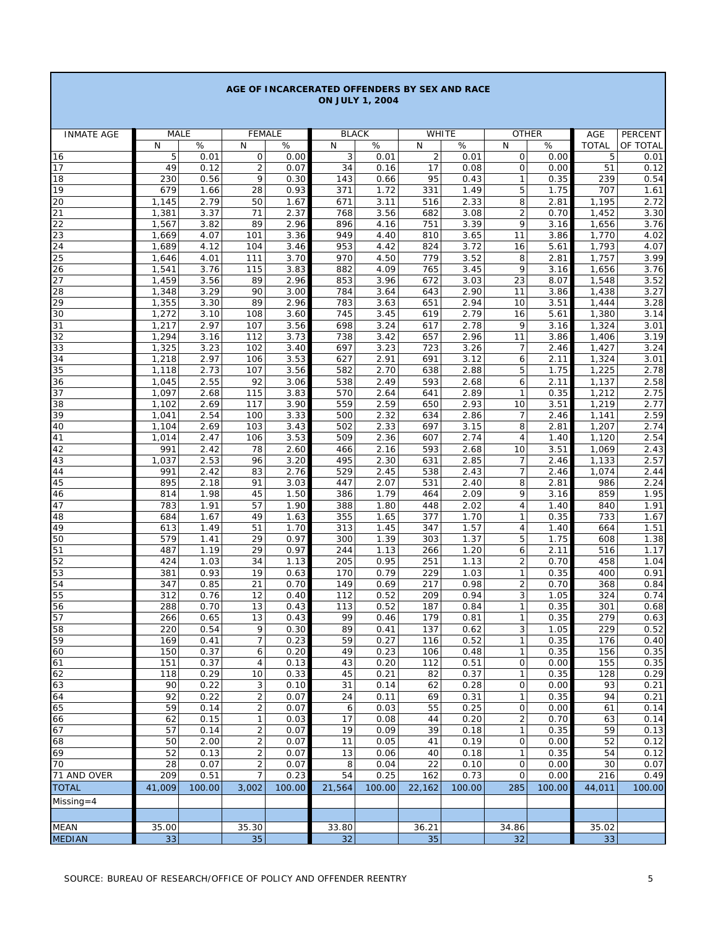| <b>ON JULY 1, 2004</b> |                |              |                     |              |              |              |                     |              |                      |              |                   |                  |
|------------------------|----------------|--------------|---------------------|--------------|--------------|--------------|---------------------|--------------|----------------------|--------------|-------------------|------------------|
|                        |                |              |                     |              |              |              |                     |              |                      |              |                   |                  |
| <b>INMATE AGE</b>      | <b>MALE</b>    |              | <b>FEMALE</b>       |              | <b>BLACK</b> |              | WHITE               |              | <b>OTHER</b>         |              | AGE               | PERCENT          |
| 16                     | N<br>5         | $\%$<br>0.01 | N<br>$\mathsf{O}$   | $\%$<br>0.00 | N<br>3       | $\%$<br>0.01 | N<br>$\overline{2}$ | $\%$<br>0.01 | N<br>0               | %<br>0.00    | <b>TOTAL</b><br>5 | OF TOTAL<br>0.01 |
| 17                     | 49             | 0.12         | 2                   | 0.07         | 34           | 0.16         | 17                  | 0.08         | 0                    | 0.00         | 51                | 0.12             |
| 18                     | 230            | 0.56         | 9                   | 0.30         | 143          | 0.66         | 95                  | 0.43         | $\mathbf{1}$         | 0.35         | 239               | 0.54             |
| 19                     | 679            | 1.66         | 28                  | 0.93         | 371          | 1.72         | 331                 | 1.49         | 5                    | 1.75         | 707               | 1.61             |
| 20                     | 1,145          | 2.79         | 50                  | 1.67         | 671          | 3.11         | 516                 | 2.33         | 8                    | 2.81         | 1,195             | 2.72             |
| 21                     | 1,381          | 3.37         | 71                  | 2.37         | 768          | 3.56         | 682                 | 3.08         | $\overline{c}$       | 0.70         | 1,452             | 3.30             |
| 22<br>23               | 1,567<br>1,669 | 3.82<br>4.07 | 89<br>101           | 2.96<br>3.36 | 896<br>949   | 4.16<br>4.40 | 751<br>810          | 3.39<br>3.65 | 9<br>11              | 3.16<br>3.86 | 1,656<br>1,770    | 3.76<br>4.02     |
| 24                     | 1,689          | 4.12         | 104                 | 3.46         | 953          | 4.42         | 824                 | 3.72         | 16                   | 5.61         | 1,793             | 4.07             |
| 25                     | 1,646          | 4.01         | 111                 | 3.70         | 970          | 4.50         | 779                 | 3.52         | 8                    | 2.81         | 1,757             | 3.99             |
| 26                     | 1,541          | 3.76         | 115                 | 3.83         | 882          | 4.09         | 765                 | 3.45         | 9                    | 3.16         | 1,656             | 3.76             |
| 27                     | 1,459          | 3.56         | 89                  | 2.96         | 853          | 3.96         | 672                 | 3.03         | 23                   | 8.07         | 1,548             | 3.52             |
| 28                     | 1,348          | 3.29         | 90                  | 3.00         | 784          | 3.64         | 643                 | 2.90         | 11                   | 3.86         | 1,438             | 3.27             |
| 29<br>30               | 1,355<br>1,272 | 3.30<br>3.10 | 89<br>108           | 2.96<br>3.60 | 783<br>745   | 3.63<br>3.45 | 651<br>619          | 2.94<br>2.79 | 10<br>16             | 3.51<br>5.61 | 1,444<br>1,380    | 3.28<br>3.14     |
| 31                     | 1,217          | 2.97         | 107                 | 3.56         | 698          | 3.24         | 617                 | 2.78         | 9                    | 3.16         | 1,324             | 3.01             |
| 32                     | 1,294          | 3.16         | 112                 | 3.73         | 738          | 3.42         | 657                 | 2.96         | 11                   | 3.86         | 1,406             | 3.19             |
| 33                     | 1,325          | 3.23         | 102                 | 3.40         | 697          | 3.23         | 723                 | 3.26         | $\overline{7}$       | 2.46         | 1,427             | 3.24             |
| 34                     | 1,218          | 2.97         | 106                 | 3.53         | 627          | 2.91         | 691                 | 3.12         | 6                    | 2.11         | 1,324             | 3.01             |
| 35<br>36               | 1,118<br>1,045 | 2.73<br>2.55 | 107<br>92           | 3.56<br>3.06 | 582<br>538   | 2.70<br>2.49 | 638<br>593          | 2.88<br>2.68 | 5                    | 1.75<br>2.11 | 1,225             | 2.78<br>2.58     |
| 37                     | 1,097          | 2.68         | 115                 | 3.83         | 570          | 2.64         | 641                 | 2.89         | 6<br>$\mathbf{1}$    | 0.35         | 1,137<br>1,212    | 2.75             |
| 38                     | 1,102          | 2.69         | 117                 | 3.90         | 559          | 2.59         | 650                 | 2.93         | 10                   | 3.51         | 1,219             | 2.77             |
| 39                     | 1,041          | 2.54         | 100                 | 3.33         | 500          | 2.32         | 634                 | 2.86         | $\overline{7}$       | 2.46         | 1,141             | 2.59             |
| 40                     | 1,104          | 2.69         | 103                 | 3.43         | 502          | 2.33         | 697                 | 3.15         | 8                    | 2.81         | 1,207             | 2.74             |
| 41                     | 1,014          | 2.47         | 106                 | 3.53         | 509          | 2.36         | 607                 | 2.74         | 4                    | 1.40         | 1,120             | 2.54             |
| 42                     | 991<br>1,037   | 2.42<br>2.53 | 78<br>96            | 2.60<br>3.20 | 466<br>495   | 2.16<br>2.30 | 593<br>631          | 2.68<br>2.85 | 10<br>$\overline{7}$ | 3.51<br>2.46 | 1,069<br>1,133    | 2.43<br>2.57     |
| 43<br>44               | 991            | 2.42         | 83                  | 2.76         | 529          | 2.45         | 538                 | 2.43         | $\overline{7}$       | 2.46         | 1,074             | 2.44             |
| 45                     | 895            | 2.18         | 91                  | 3.03         | 447          | 2.07         | 531                 | 2.40         | 8                    | 2.81         | 986               | 2.24             |
| 46                     | 814            | 1.98         | 45                  | 1.50         | 386          | 1.79         | 464                 | 2.09         | 9                    | 3.16         | 859               | 1.95             |
| 47                     | 783            | 1.91         | 57                  | 1.90         | 388          | 1.80         | 448                 | 2.02         | $\overline{4}$       | 1.40         | 840               | 1.91             |
| 48                     | 684            | 1.67         | 49                  | 1.63         | 355          | 1.65         | 377                 | 1.70         | $\mathbf{1}$         | 0.35         | 733               | 1.67             |
| 49<br>50               | 613<br>579     | 1.49<br>1.41 | 51<br>29            | 1.70<br>0.97 | 313<br>300   | 1.45<br>1.39 | 347<br>303          | 1.57<br>1.37 | $\overline{4}$<br>5  | 1.40<br>1.75 | 664<br>608        | 1.51<br>1.38     |
| 51                     | 487            | 1.19         | 29                  | 0.97         | 244          | 1.13         | 266                 | 1.20         | 6                    | 2.11         | 516               | 1.17             |
| 52                     | 424            | 1.03         | 34                  | 1.13         | 205          | 0.95         | 251                 | 1.13         | $\overline{c}$       | 0.70         | 458               | 1.04             |
| 53                     | 381            | 0.93         | 19                  | 0.63         | 170          | 0.79         | 229                 | 1.03         | $\mathbf{1}$         | 0.35         | 400               | 0.91             |
| 54                     | 347            | 0.85         | 21                  | 0.70         | 149          | 0.69         | 217                 | 0.98         | $\overline{2}$       | 0.70         | 368               | 0.84             |
| 55                     | 312            | 0.76         | 12                  | 0.40         | 112          | 0.52         | 209                 | 0.94         | 3                    | 1.05         | 324               | 0.74             |
| 56<br>57               | 288<br>266     | 0.70<br>0.65 | 13<br>13            | 0.43<br>0.43 | 113<br>99    | 0.52<br>0.46 | 187<br>179          | 0.84<br>0.81 | 1<br>$\mathbf{1}$    | 0.35<br>0.35 | 301<br>279        | 0.68<br>0.63     |
| 58                     | 220            | 0.54         | 9                   | 0.30         | 89           | 0.41         | 137                 | 0.62         | 3                    | 1.05         | 229               | 0.52             |
| 59                     | 169            | 0.41         | $\overline{7}$      | 0.23         | 59           | 0.27         | 116                 | 0.52         | $\mathbf{1}$         | 0.35         | 176               | 0.40             |
| 60                     | 150            | 0.37         | 6                   | 0.20         | 49           | 0.23         | 106                 | 0.48         | $\mathbf{1}$         | 0.35         | 156               | 0.35             |
| 61                     | 151            | 0.37         | 4                   | 0.13         | 43           | 0.20         | 112                 | 0.51         | 0                    | 0.00         | 155               | 0.35             |
| 62                     | 118            | 0.29         | 10                  | 0.33         | 45           | 0.21         | 82                  | 0.37         | $\mathbf{1}$         | 0.35<br>0.00 | 128               | 0.29             |
| 63<br>64               | 90<br>92       | 0.22<br>0.22 | 3<br>2              | 0.10<br>0.07 | 31<br>24     | 0.14<br>0.11 | 62<br>69            | 0.28<br>0.31 | 0<br>$\mathbf{1}$    | 0.35         | 93<br>94          | 0.21<br>0.21     |
| 65                     | 59             | 0.14         | 2                   | 0.07         | 6            | 0.03         | 55                  | 0.25         | $\mathbf 0$          | 0.00         | 61                | 0.14             |
| 66                     | 62             | 0.15         | 1                   | 0.03         | 17           | 0.08         | 44                  | 0.20         | $\boldsymbol{2}$     | 0.70         | 63                | 0.14             |
| 67                     | 57             | 0.14         | 2                   | 0.07         | 19           | 0.09         | 39                  | 0.18         | $\mathbf{1}$         | 0.35         | 59                | 0.13             |
| 68                     | 50             | 2.00         | $\overline{2}$      | 0.07         | 11           | 0.05         | 41                  | 0.19         | 0                    | 0.00         | 52                | 0.12             |
| 69<br>70               | 52             | 0.13         | 2                   | 0.07         | 13           | 0.06         | 40                  | 0.18         | $\mathbf{1}$         | 0.35         | 54                | 0.12             |
| 71 AND OVER            | 28<br>209      | 0.07<br>0.51 | $\overline{c}$<br>7 | 0.07<br>0.23 | 8<br>54      | 0.04<br>0.25 | 22<br>162           | 0.10<br>0.73 | 0<br>0               | 0.00<br>0.00 | 30<br>216         | 0.07<br>0.49     |
| <b>TOTAL</b>           | 41,009         | 100.00       | 3,002               | 100.00       | 21,564       | 100.00       | 22,162              | 100.00       | 285                  | 100.00       | 44,011            | 100.00           |
| $Missing = 4$          |                |              |                     |              |              |              |                     |              |                      |              |                   |                  |
|                        |                |              |                     |              |              |              |                     |              |                      |              |                   |                  |
| <b>MEAN</b>            | 35.00          |              | 35.30               |              | 33.80        |              | 36.21               |              | 34.86                |              | 35.02             |                  |
| <b>MEDIAN</b>          | 33             |              | 35                  |              | 32           |              | 35                  |              | 32                   |              | 33                |                  |

**AGE OF INCARCERATED OFFENDERS BY SEX AND RACE**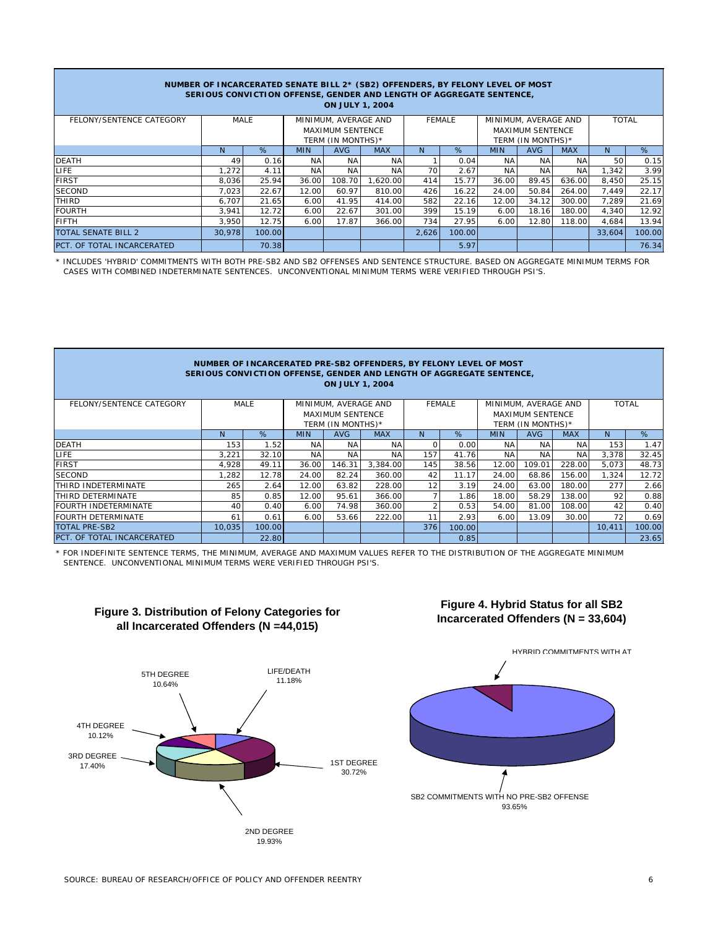| NUMBER OF INCARCERATED SENATE BILL 2* (SB2) OFFENDERS, BY FELONY LEVEL OF MOST<br>SERIOUS CONVICTION OFFENSE, GENDER AND LENGTH OF AGGREGATE SENTENCE,<br><b>ON JULY 1, 2004</b> |              |        |                                              |            |            |               |        |                      |                                              |            |        |        |  |
|----------------------------------------------------------------------------------------------------------------------------------------------------------------------------------|--------------|--------|----------------------------------------------|------------|------------|---------------|--------|----------------------|----------------------------------------------|------------|--------|--------|--|
| FELONY/SENTENCE CATEGORY                                                                                                                                                         | MALE         |        | MINIMUM, AVERAGE AND                         |            |            | <b>FEMALE</b> |        | MINIMUM, AVERAGE AND | <b>TOTAL</b>                                 |            |        |        |  |
|                                                                                                                                                                                  |              |        | <b>MAXIMUM SENTENCE</b><br>TERM (IN MONTHS)* |            |            |               |        |                      | <b>MAXIMUM SENTENCE</b><br>TERM (IN MONTHS)* |            |        |        |  |
|                                                                                                                                                                                  | <sup>N</sup> | %      | <b>MIN</b>                                   | <b>AVG</b> | <b>MAX</b> | N             | %      | <b>MIN</b>           | <b>AVG</b>                                   | <b>MAX</b> | N      | %      |  |
| <b>DEATH</b>                                                                                                                                                                     | 49           | 0.16   | NA.                                          | NA         | NA.        |               | 0.04   | NA.                  | NA                                           | NA         | 50     | 0.15   |  |
| LIFE.                                                                                                                                                                            | 1.272        | 4.11   | <b>NA</b>                                    | <b>NA</b>  | NA         | 70            | 2.67   | NA.                  | <b>NA</b>                                    | <b>NA</b>  | 1,342  | 3.99   |  |
| <b>FIRST</b>                                                                                                                                                                     | 8.036        | 25.94  | 36.00                                        | 108.70     | 1.620.00   | 414           | 15.77  | 36.00                | 89.45                                        | 636.00     | 8,450  | 25.15  |  |
| <b>SECOND</b>                                                                                                                                                                    | 7.023        | 22.67  | 12.00                                        | 60.97      | 810.00     | 426           | 16.22  | 24.00                | 50.84                                        | 264.00     | 7,449  | 22.17  |  |
| THIRD                                                                                                                                                                            | 6,707        | 21.65  | 6.00                                         | 41.95      | 414.00     | 582           | 22.16  | 12.00                | 34.12                                        | 300.00     | 7,289  | 21.69  |  |
| <b>FOURTH</b>                                                                                                                                                                    | 3,941        | 12.72  | 6.00                                         | 22.67      | 301.00     | 399           | 15.19  | 6.00                 | 18.16                                        | 180.00     | 4,340  | 12.92  |  |
| <b>FIFTH</b>                                                                                                                                                                     | 3.950        | 12.75  | 6.00                                         | 17.87      | 366.00     | 734           | 27.95  | 6.00                 | 12.80                                        | 118.00     | 4.684  | 13.94  |  |
| TOTAL SENATE BILL 2                                                                                                                                                              | 30.978       | 100.00 |                                              |            |            | 2.626         | 100.00 |                      |                                              |            | 33.604 | 100.00 |  |
| PCT. OF TOTAL INCARCERATED                                                                                                                                                       |              | 70.38  |                                              |            |            |               | 5.97   |                      |                                              |            |        | 76.34  |  |

\* INCLUDES 'HYBRID' COMMITMENTS WITH BOTH PRE-SB2 AND SB2 OFFENSES AND SENTENCE STRUCTURE. BASED ON AGGREGATE MINIMUM TERMS FOR CASES WITH COMBINED INDETERMINATE SENTENCES. UNCONVENTIONAL MINIMUM TERMS WERE VERIFIED THROUGH PSI'S.

| NUMBER OF INCARCERATED PRE-SB2 OFFENDERS, BY FELONY LEVEL OF MOST<br>SERIOUS CONVICTION OFFENSE, GENDER AND LENGTH OF AGGREGATE SENTENCE,<br><b>ON JULY 1, 2004</b> |        |             |                         |                      |               |          |        |                      |                         |              |        |        |  |
|---------------------------------------------------------------------------------------------------------------------------------------------------------------------|--------|-------------|-------------------------|----------------------|---------------|----------|--------|----------------------|-------------------------|--------------|--------|--------|--|
| FELONY/SENTENCE CATEGORY                                                                                                                                            |        | <b>MALE</b> |                         | MINIMUM, AVERAGE AND | <b>FEMALE</b> |          |        | MINIMUM, AVERAGE AND |                         | <b>TOTAL</b> |        |        |  |
|                                                                                                                                                                     |        |             | <b>MAXIMUM SENTENCE</b> |                      |               |          |        |                      | <b>MAXIMUM SENTENCE</b> |              |        |        |  |
|                                                                                                                                                                     |        |             |                         | TERM (IN MONTHS)*    |               |          |        | TERM (IN MONTHS)*    |                         |              |        |        |  |
|                                                                                                                                                                     | N      | %           | <b>MIN</b>              | AVG                  | <b>MAX</b>    | N        | %      | <b>MIN</b>           | <b>AVG</b>              | <b>MAX</b>   | N      | %      |  |
| <b>DEATH</b>                                                                                                                                                        | 153    | 1.52        | <b>NA</b>               | <b>NA</b>            | <b>NA</b>     | $\Omega$ | 0.00   | <b>NA</b>            | <b>NA</b>               | <b>NA</b>    | 153    | 1.47   |  |
| <b>LIFE</b>                                                                                                                                                         | 3.221  | 32.10       | <b>NA</b>               | <b>NA</b>            | <b>NA</b>     | 157      | 41.76  | <b>NA</b>            | <b>NA</b>               | <b>NA</b>    | 3,378  | 32.45  |  |
| <b>FIRST</b>                                                                                                                                                        | 4.928  | 49.11       | 36.00                   | 146.31               | 3.384.00      | 145      | 38.56  | 12.00                | 109.01                  | 228.00       | 5,073  | 48.73  |  |
| <b>SECOND</b>                                                                                                                                                       | .282   | 12.78       | 24.00                   | 82.24                | 360.00        | 42       | 11.17  | 24.00                | 68.86                   | 156.00       | 324, ا | 12.72  |  |
| <b>ITHIRD INDETERMINATE</b>                                                                                                                                         | 265    | 2.64        | 12.00                   | 63.82                | 228.00        | 12       | 3.19   | 24.00                | 63.00                   | 180.00       | 277    | 2.66   |  |
| THIRD DETERMINATE                                                                                                                                                   | 85     | 0.85        | 12.00                   | 95.61                | 366.00        |          | 1.86   | 18.00                | 58.29                   | 138.00       | 92     | 0.88   |  |
| <b>FOURTH INDETERMINATE</b>                                                                                                                                         | 40     | 0.40        | 6.00                    | 74.98                | 360.00        |          | 0.53   | 54.00                | 81.00                   | 108.00       | 42     | 0.40   |  |
| <b>FOURTH DETERMINATE</b>                                                                                                                                           | 61     | 0.61        | 6.00                    | 53.66                | 222.00        | 11       | 2.93   | 6.00                 | 13.09                   | 30.00        | 72     | 0.69   |  |
| <b>TOTAL PRE-SB2</b>                                                                                                                                                | 10.035 | 100.00      |                         |                      |               | 376      | 100.00 |                      |                         |              | 10,411 | 100.00 |  |
| PCT. OF TOTAL INCARCERATED                                                                                                                                          |        | 22.80       |                         |                      |               |          | 0.85   |                      |                         |              |        | 23.65  |  |

\* FOR INDEFINITE SENTENCE TERMS, THE MINIMUM, AVERAGE AND MAXIMUM VALUES REFER TO THE DISTRIBUTION OF THE AGGREGATE MINIMUM SENTENCE. UNCONVENTIONAL MINIMUM TERMS WERE VERIFIED THROUGH PSI'S.



# **Figure 3. Distribution of Felony Categories for all Incarcerated Offenders (N =44,015)**

### **Figure 4. Hybrid Status for all SB2 Incarcerated Offenders (N = 33,604)**

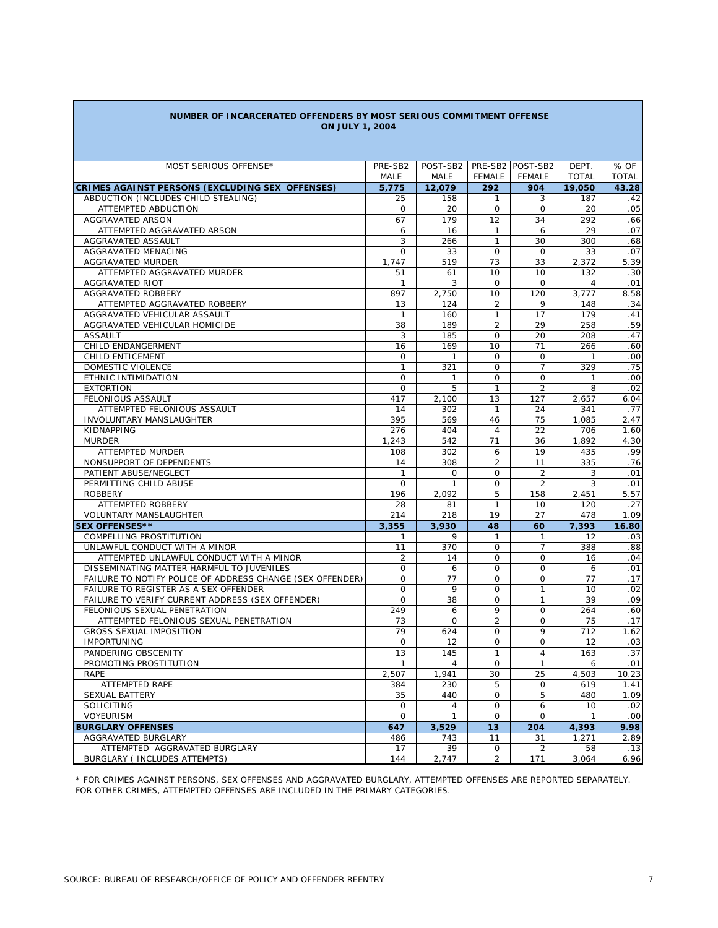| NUMBER OF INCARCERATED OFFENDERS BY MOST SERIOUS COMMITMENT OFFENSE |  |
|---------------------------------------------------------------------|--|
| <b>ON JULY 1, 2004</b>                                              |  |

| MOST SERIOUS OFFENSE*                                     | PRE-SB2        | POST-SB2     |                | PRE-SB2 POST-SB2 | DEPT.        | % OF         |
|-----------------------------------------------------------|----------------|--------------|----------------|------------------|--------------|--------------|
|                                                           | MALE           | MALE         | <b>FEMALE</b>  | FEMALE           | <b>TOTAL</b> | <b>TOTAL</b> |
| <b>CRIMES AGAINST PERSONS (EXCLUDING SEX OFFENSES)</b>    | 5.775          | 12,079       | 292            | 904              | 19,050       | 43.28        |
| ABDUCTION (INCLUDES CHILD STEALING)                       | 25             | 158          | 1              | 3                | 187          | .42          |
| ATTEMPTED ABDUCTION                                       | 0              | 20           | $\mathbf 0$    | $\mathbf 0$      | 20           | .05          |
| AGGRAVATED ARSON                                          | 67             | 179          | 12             | 34               | 292          | .66          |
| ATTEMPTED AGGRAVATED ARSON                                | 6              | 16           | $\mathbf{1}$   | 6                | 29           | .07          |
| AGGRAVATED ASSAULT                                        | 3              | 266          | $\mathbf{1}$   | 30               | 300          | .68          |
| AGGRAVATED MENACING                                       | 0              | 33           | $\Omega$       | $\Omega$         | 33           | .07          |
| AGGRAVATED MURDER                                         | 1,747          | 519          | 73             | 33               | 2,372        | 5.39         |
| ATTEMPTED AGGRAVATED MURDER                               | 51             | 61           | 10             | 10               | 132          | .30          |
| <b>AGGRAVATED RIOT</b>                                    | 1              | 3            | $\Omega$       | $\Omega$         | 4            | .01          |
| AGGRAVATED ROBBERY                                        | 897            | 2,750        | 10             | 120              | 3,777        | 8.58         |
| ATTEMPTED AGGRAVATED ROBBERY                              | 13             | 124          | $\overline{2}$ | 9                | 148          | .34          |
| AGGRAVATED VEHICULAR ASSAULT                              | $\mathbf{1}$   | 160          | $\mathbf{1}$   | 17               | 179          | .41          |
| AGGRAVATED VEHICULAR HOMICIDE                             | 38             | 189          | $\overline{2}$ | 29               | 258          | .59          |
| <b>ASSAULT</b>                                            | 3              | 185          | $\mathbf 0$    | 20               | 208          | .47          |
| CHILD ENDANGERMENT                                        | 16             | 169          | 10             | 71               | 266          | .60          |
| <b>CHILD ENTICEMENT</b>                                   | 0              | $\mathbf{1}$ | $\Omega$       | $\Omega$         | 1            | .00          |
| DOMESTIC VIOLENCE                                         | $\mathbf{1}$   | 321          | $\Omega$       | $\overline{7}$   | 329          | .75          |
| ETHNIC INTIMIDATION                                       | 0              | 1            | $\mathbf 0$    | 0                | 1            | .00          |
| <b>EXTORTION</b>                                          | 0              | 5            | $\mathbf{1}$   | $\overline{2}$   | 8            | .02          |
| FELONIOUS ASSAULT                                         | 417            | 2.100        | 13             | 127              | 2,657        | 6.04         |
| ATTEMPTED FELONIOUS ASSAULT                               | 14             | 302          | $\mathbf{1}$   | 24               | 341          | .77          |
| <b>INVOLUNTARY MANSLAUGHTER</b>                           | 395            | 569          | 46             | 75               | 1,085        | 2.47         |
| KIDNAPPING                                                | 276            | 404          | $\overline{4}$ | 22               | 706          | 1.60         |
| <b>MURDER</b>                                             | 1,243          | 542          | 71             | 36               | 1,892        | 4.30         |
| ATTEMPTED MURDER                                          | 108            | 302          | 6              | 19               | 435          | .99          |
| NONSUPPORT OF DEPENDENTS                                  | 14             | 308          | $\overline{2}$ | 11               | 335          | .76          |
| PATIENT ABUSE/NEGLECT                                     | $\mathbf{1}$   | $\mathbf 0$  | $\Omega$       | $\overline{2}$   | 3            | .01          |
| PERMITTING CHILD ABUSE                                    | $\mathsf{O}$   | $\mathbf{1}$ | $\mathbf 0$    | $\overline{2}$   | 3            | .01          |
| <b>ROBBERY</b>                                            | 196            | 2,092        | 5              | 158              | 2,451        | 5.57         |
| ATTEMPTED ROBBERY                                         | 28             | 81           | $\mathbf{1}$   | 10               | 120          | .27          |
| <b>VOLUNTARY MANSLAUGHTER</b>                             | 214            | 218          | 19             | 27               | 478          | 1.09         |
| <b>SEX OFFENSES**</b>                                     | 3,355          | 3,930        | 48             | 60               | 7,393        | 16.80        |
| COMPELLING PROSTITUTION                                   | 1              | 9            | 1              | 1                | 12           | .03          |
| UNLAWFUL CONDUCT WITH A MINOR                             | 11             | 370          | $\mathbf 0$    | $\overline{7}$   | 388          | .88          |
| ATTEMPTED UNLAWFUL CONDUCT WITH A MINOR                   | $\overline{2}$ | 14           | $\mathbf 0$    | $\mathbf 0$      | 16           | .04          |
| DISSEMINATING MATTER HARMFUL TO JUVENILES                 | $\Omega$       | 6            | $\Omega$       | $\Omega$         | 6            | .01          |
| FAILURE TO NOTIFY POLICE OF ADDRESS CHANGE (SEX OFFENDER) | $\mathbf 0$    | 77           | $\mathbf 0$    | $\mathbf 0$      | 77           | .17          |
| FAILURE TO REGISTER AS A SEX OFFENDER                     | 0              | 9            | $\mathbf 0$    | 1                | 10           | .02          |
| FAILURE TO VERIFY CURRENT ADDRESS (SEX OFFENDER)          | $\Omega$       | 38           | $\mathbf 0$    | $\mathbf{1}$     | 39           | .09          |
| FELONIOUS SEXUAL PENETRATION                              | 249            | 6            | 9              | $\mathbf 0$      | 264          | .60          |
| ATTEMPTED FELONIOUS SEXUAL PENETRATION                    | 73             | $\mathbf 0$  | $\overline{2}$ | $\mathbf 0$      | 75           | .17          |
| <b>GROSS SEXUAL IMPOSITION</b>                            | 79             | 624          | $\mathbf 0$    | 9                | 712          | 1.62         |
| <b>IMPORTUNING</b>                                        | $\mathbf 0$    | 12           | $\mathbf 0$    | $\circ$          | 12           | .03          |
| PANDERING OBSCENITY                                       | 13             | 145          | $\mathbf{1}$   | $\overline{4}$   | 163          | .37          |
| PROMOTING PROSTITUTION                                    | 1              | 4            | $\mathbf 0$    | $\mathbf{1}$     | 6            | .01          |
| <b>RAPE</b>                                               | 2.507          | 1.941        | 30             | 25               | 4,503        | 10.23        |
| ATTEMPTED RAPE                                            | 384            | 230          | 5              | $\Omega$         | 619          | 1.41         |
| <b>SEXUAL BATTERY</b>                                     | 35             | 440          | $\mathsf{O}$   | 5                | 480          | 1.09         |
| SOLICITING                                                | $\mathbf 0$    | 4            | 0              | 6                | 10           | .02          |
| <b>VOYEURISM</b>                                          | $\mathbf 0$    | $\mathbf{1}$ | $\mathbf 0$    | $\mathbf 0$      | 1            | .00          |
| <b>BURGLARY OFFENSES</b>                                  | 647            | 3,529        | 13             | 204              | 4,393        | 9.98         |
| AGGRAVATED BURGLARY                                       | 486            | 743          | 11             | 31               | 1,271        | 2.89         |
| ATTEMPTED AGGRAVATED BURGLARY                             | 17             | 39           | $\circ$        | $\overline{2}$   | 58           | .13          |
| <b>BURGLARY (INCLUDES ATTEMPTS)</b>                       | 144            | 2,747        | $\overline{2}$ | 171              | 3.064        | 6.96         |

\* FOR CRIMES AGAINST PERSONS, SEX OFFENSES AND AGGRAVATED BURGLARY, ATTEMPTED OFFENSES ARE REPORTED SEPARATELY. FOR OTHER CRIMES, ATTEMPTED OFFENSES ARE INCLUDED IN THE PRIMARY CATEGORIES.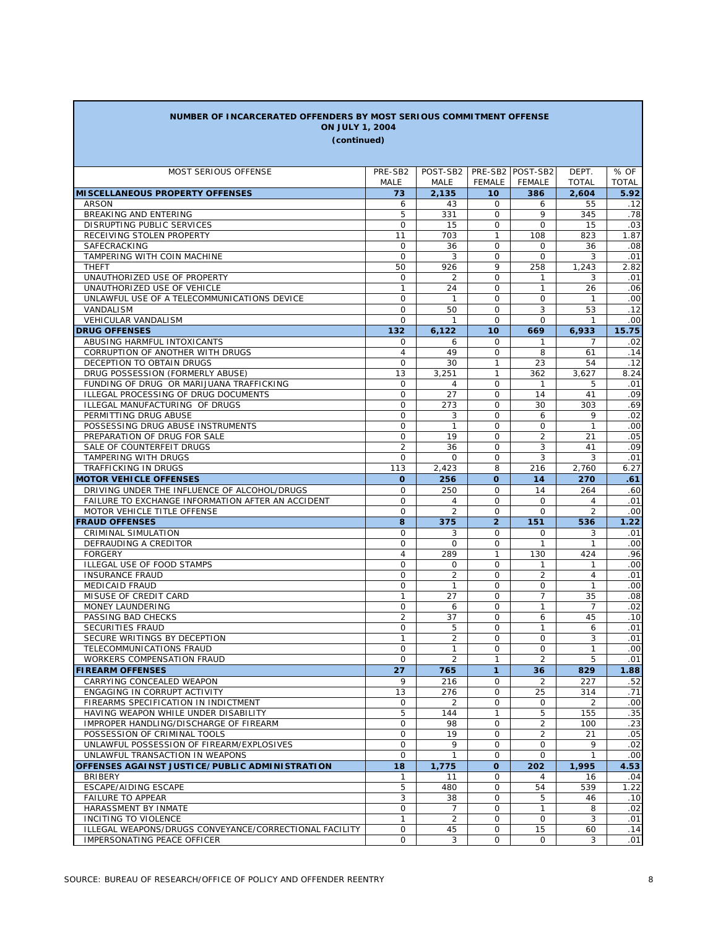| NUMBER OF INCARCERATED OFFENDERS BY MOST SERIOUS COMMITMENT OFFENSE<br><b>ON JULY 1, 2004</b> |                            |                     |                              |                     |                       |               |  |
|-----------------------------------------------------------------------------------------------|----------------------------|---------------------|------------------------------|---------------------|-----------------------|---------------|--|
| (continued)                                                                                   |                            |                     |                              |                     |                       |               |  |
|                                                                                               |                            |                     |                              |                     |                       |               |  |
|                                                                                               |                            |                     |                              |                     |                       |               |  |
| <b>MOST SERIOUS OFFENSE</b>                                                                   | PRE-SB2                    | POST-SB2            |                              | PRE-SB2   POST-SB2  | DEPT.                 | % OF          |  |
| <b>MISCELLANEOUS PROPERTY OFFENSES</b>                                                        | MALE                       | MALE<br>2,135       | FEMALE<br>10 <sub>1</sub>    | FEMALE<br>386       | <b>TOTAL</b><br>2,604 | TOTAL<br>5.92 |  |
| ARSON                                                                                         | 73<br>6                    | 43                  | 0                            | 6                   | 55                    | .12           |  |
| BREAKING AND ENTERING                                                                         | 5                          | 331                 | 0                            | 9                   | 345                   | .78           |  |
| DISRUPTING PUBLIC SERVICES                                                                    | 0                          | 15                  | 0                            | $\mathbf 0$         | 15                    | .03           |  |
| RECEIVING STOLEN PROPERTY                                                                     | 11                         | 703                 | $\mathbf{1}$                 | 108                 | 823                   | 1.87          |  |
| SAFECRACKING                                                                                  | 0                          | 36                  | 0                            | 0                   | 36                    | .08           |  |
| TAMPERING WITH COIN MACHINE                                                                   | $\mathsf{O}$               | 3                   | $\mathbf 0$                  | $\mathsf{O}$        | 3                     | .01           |  |
| <b>THEFT</b>                                                                                  | 50                         | 926                 | 9                            | 258                 | 1,243                 | 2.82          |  |
| UNAUTHORIZED USE OF PROPERTY                                                                  | 0                          | 2                   | $\mathbf 0$                  | 1                   | 3                     | .01           |  |
| UNAUTHORIZED USE OF VEHICLE                                                                   | $\mathbf{1}$               | 24                  | 0                            | $\mathbf{1}$        | 26                    | .06           |  |
| UNLAWFUL USE OF A TELECOMMUNICATIONS DEVICE                                                   | $\mathsf{O}$               | $\mathbf{1}$        | $\mathbf 0$                  | 0                   | $\mathbf{1}$          | .00           |  |
| VANDALISM                                                                                     | 0                          | 50                  | 0                            | 3                   | 53                    | .12           |  |
| <b>VEHICULAR VANDALISM</b>                                                                    | 0                          | $\mathbf{1}$        | 0                            | 0                   | $\mathbf{1}$          | .00           |  |
| <b>DRUG OFFENSES</b>                                                                          | 132                        | 6,122               | 10                           | 669                 | 6,933                 | 15.75         |  |
| ABUSING HARMFUL INTOXICANTS                                                                   | 0                          | 6                   | 0                            | 1                   | $\overline{7}$        | .02           |  |
| CORRUPTION OF ANOTHER WITH DRUGS                                                              | $\overline{4}$             | 49                  | 0                            | 8                   | 61                    | .14           |  |
| DECEPTION TO OBTAIN DRUGS                                                                     | $\mathsf{O}$               | 30                  | $\mathbf{1}$                 | 23                  | 54                    | .12           |  |
| DRUG POSSESSION (FORMERLY ABUSE)                                                              | 13                         | 3,251               | $\mathbf{1}$                 | 362                 | 3,627                 | 8.24          |  |
| FUNDING OF DRUG OR MARIJUANA TRAFFICKING                                                      | $\mathbf 0$                | 4                   | $\mathbf 0$                  | $\mathbf{1}$        | 5                     | .01           |  |
| ILLEGAL PROCESSING OF DRUG DOCUMENTS                                                          | 0                          | 27                  | $\mathbf 0$                  | 14                  | 41                    | .09           |  |
| ILLEGAL MANUFACTURING OF DRUGS                                                                | $\mathbf 0$                | 273                 | 0                            | 30                  | 303                   | .69           |  |
| PERMITTING DRUG ABUSE                                                                         | $\mathbf 0$                | 3                   | 0                            | 6                   | 9<br>$\mathbf{1}$     | .02           |  |
| POSSESSING DRUG ABUSE INSTRUMENTS                                                             | $\mathbf 0$<br>$\mathbf 0$ | $\mathbf{1}$<br>19  | $\mathbf 0$<br>0             | 0<br>$\overline{2}$ |                       | .00           |  |
| PREPARATION OF DRUG FOR SALE                                                                  | 2                          | 36                  | $\mathbf 0$                  | 3                   | 21<br>41              | .05<br>.09    |  |
| SALE OF COUNTERFEIT DRUGS<br>TAMPERING WITH DRUGS                                             | 0                          | $\mathbf 0$         | 0                            | 3                   | 3                     | .01           |  |
| TRAFFICKING IN DRUGS                                                                          | 113                        | 2,423               | 8                            | 216                 | 2,760                 | 6.27          |  |
| <b>MOTOR VEHICLE OFFENSES</b>                                                                 | $\mathbf{o}$               | 256                 | $\mathbf{o}$                 | 14                  | 270                   | .61           |  |
| DRIVING UNDER THE INFLUENCE OF ALCOHOL/DRUGS                                                  | $\circ$                    | 250                 | $\Omega$                     | 14                  | 264                   | .60           |  |
| FAILURE TO EXCHANGE INFORMATION AFTER AN ACCIDENT                                             | 0                          | 4                   | $\mathbf 0$                  | $\mathbf 0$         | 4                     | .01           |  |
| MOTOR VEHICLE TITLE OFFENSE                                                                   | $\circ$                    | $\overline{2}$      | $\mathbf 0$                  | O                   | $\overline{2}$        | .00           |  |
| <b>FRAUD OFFENSES</b>                                                                         | 8                          | 375                 | $\overline{2}$               | 151                 | 536                   | 1.22          |  |
| CRIMINAL SIMULATION                                                                           | 0                          | 3                   | 0                            | 0                   | 3                     | .01           |  |
| DEFRAUDING A CREDITOR                                                                         | 0                          | 0                   | $\mathbf 0$                  | $\mathbf{1}$        | $\mathbf{1}$          | .00           |  |
| <b>FORGERY</b>                                                                                | $\overline{4}$             | 289                 | $\mathbf{1}$                 | 130                 | 424                   | .96           |  |
| ILLEGAL USE OF FOOD STAMPS                                                                    | $\mathsf{O}$               | 0                   | $\mathbf 0$                  | $\mathbf{1}$        | $\mathbf{1}$          | .00           |  |
| <b>INSURANCE FRAUD</b>                                                                        | 0                          | $\overline{2}$      | 0                            | $\overline{2}$      | 4                     | .01           |  |
| <b>MEDICAID FRAUD</b>                                                                         | 0                          | $\mathbf{1}$        | $\mathbf 0$                  | O                   | $\mathbf{1}$          | .00           |  |
| MISUSE OF CREDIT CARD                                                                         | $\mathbf{1}$               | 27                  | $\mathbf 0$                  | $\overline{7}$      | 35                    | .08           |  |
| MONEY LAUNDERING                                                                              | $\mathsf{O}$               | 6                   | $\mathbf 0$                  | $\mathbf{1}$        | $\overline{7}$        | .02           |  |
| PASSING BAD CHECKS                                                                            | 2                          | 37                  | $\mathbf 0$                  | 6                   | 45                    | .10           |  |
| SECURITIES FRAUD                                                                              | $\mathsf{O}$               | 5                   | $\circ$                      | $\mathbf{1}$        | 6                     | .01           |  |
| SECURE WRITINGS BY DECEPTION                                                                  | $\mathbf{1}$               | $\mathbf 2$         | $\mathsf{O}\xspace$          | 0                   | 3                     | .01           |  |
| TELECOMMUNICATIONS FRAUD<br>WORKERS COMPENSATION FRAUD                                        | $\mathbf 0$                | 1<br>$\overline{2}$ | $\mathbf 0$                  | 0<br>$\overline{2}$ | $\mathbf{1}$<br>5     | .00           |  |
|                                                                                               | 0                          |                     | $\mathbf{1}$<br>$\mathbf{1}$ |                     |                       | .01           |  |
| <b>FIREARM OFFENSES</b><br>CARRYING CONCEALED WEAPON                                          | 27<br>9                    | 765<br>216          | 0                            | 36<br>2             | 829<br>227            | 1.88<br>.52   |  |
| ENGAGING IN CORRUPT ACTIVITY                                                                  | 13                         | 276                 | 0                            | 25                  | 314                   | .71           |  |
| FIREARMS SPECIFICATION IN INDICTMENT                                                          | 0                          | 2                   | 0                            | 0                   | $\overline{2}$        | .00           |  |
| HAVING WEAPON WHILE UNDER DISABILITY                                                          | 5                          | 144                 | $\mathbf{1}$                 | 5                   | 155                   | .35           |  |
| IMPROPER HANDLING/DISCHARGE OF FIREARM                                                        | $\mathbf 0$                | 98                  | 0                            | $\overline{2}$      | 100                   | .23           |  |
| POSSESSION OF CRIMINAL TOOLS                                                                  | $\mathsf{O}$               | 19                  | $\mathsf{O}$                 | $\overline{2}$      | 21                    | .05           |  |
| UNLAWFUL POSSESSION OF FIREARM/EXPLOSIVES                                                     | $\mathsf{O}$               | 9                   | 0                            | 0                   | 9                     | .02           |  |
| UNLAWFUL TRANSACTION IN WEAPONS                                                               | $\mathbf 0$                | 1                   | $\mathbf 0$                  | 0                   | 1                     | .00           |  |
| OFFENSES AGAINST JUSTICE/PUBLIC ADMINISTRATION                                                | 18                         | 1,775               | $\mathbf{O}$                 | 202                 | 1,995                 | 4.53          |  |
| <b>BRIBERY</b>                                                                                | $\mathbf{1}$               | 11                  | 0                            | 4                   | 16                    | .04           |  |
| ESCAPE/AIDING ESCAPE                                                                          | 5                          | 480                 | 0                            | 54                  | 539                   | 1.22          |  |
| <b>FAILURE TO APPEAR</b>                                                                      | 3                          | 38                  | 0                            | 5                   | 46                    | .10           |  |
| HARASSMENT BY INMATE                                                                          | 0                          | 7                   | 0                            | 1                   | 8                     | .02           |  |
| INCITING TO VIOLENCE                                                                          | $\mathbf{1}$               | $\overline{2}$      | $\mathsf{O}$                 | $\circ$             | 3                     | .01           |  |
| ILLEGAL WEAPONS/DRUGS CONVEYANCE/CORRECTIONAL FACILITY                                        | 0                          | 45                  | 0                            | 15                  | 60                    | .14           |  |
| IMPERSONATING PEACE OFFICER                                                                   | $\mathsf{O}$               | 3                   | $\mathsf{O}$                 | $\circ$             | 3                     | .01           |  |

Г